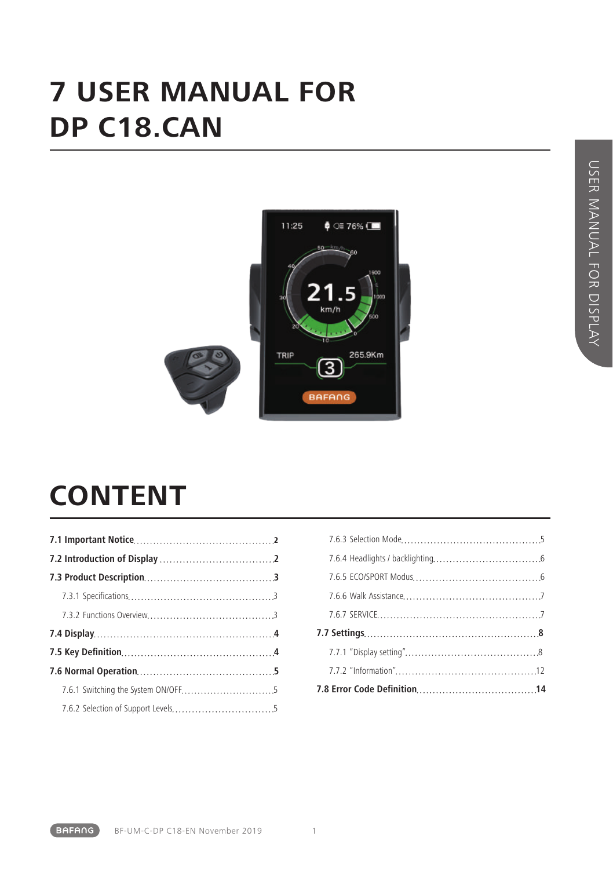### **7 USER MANUAL FOR DP C18.CAN**



### **CONTENT**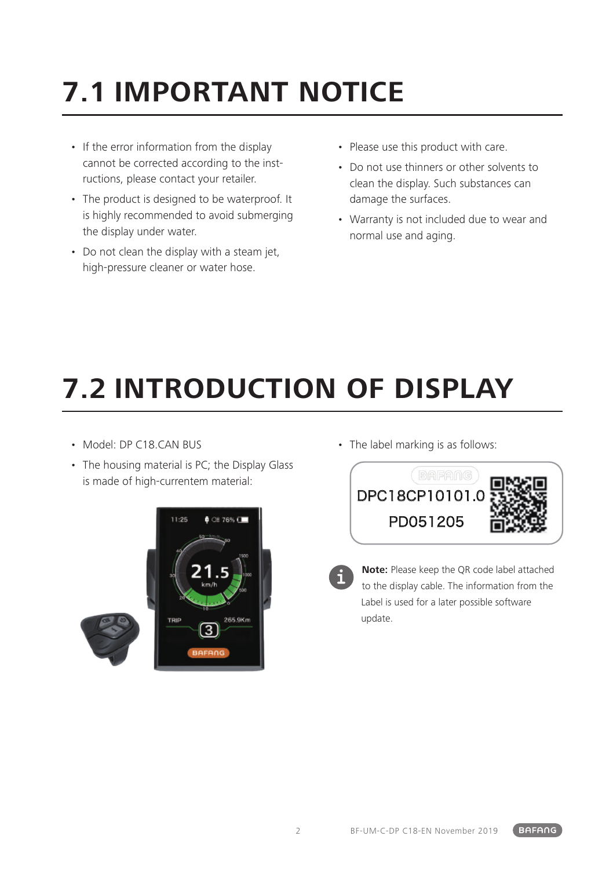## **7.1 IMPORTANT NOTICE**

- If the error information from the display cannot be corrected according to the instructions, please contact your retailer.
- The product is designed to be waterproof. It is highly recommended to avoid submerging the display under water.
- Do not clean the display with a steam jet, high-pressure cleaner or water hose.
- Please use this product with care.
- Do not use thinners or other solvents to clean the display. Such substances can damage the surfaces.
- Warranty is not included due to wear and normal use and aging.

# **7.2 INTRODUCTION OF DISPLAY**

- Model: DP C18 CAN BUS
- The housing material is PC; the Display Glass is made of high-currentem material:



• The label marking is as follows:





**Note:** Please keep the QR code label attached to the display cable. The information from the Label is used for a later possible software update.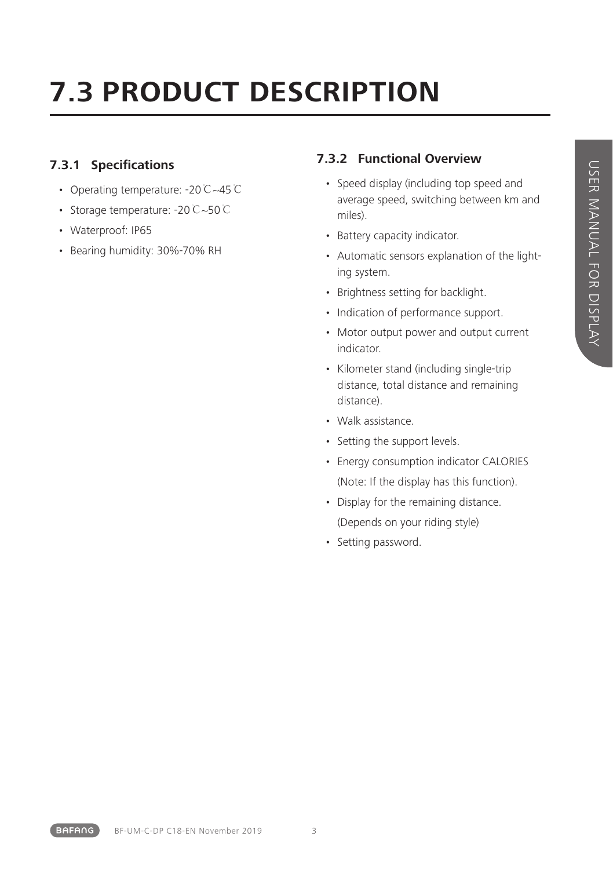## **7.3 PRODUCT DESCRIPTION**

### **7.3.1 Specifications**

- Operating temperature: -20℃~45℃
- Storage temperature: -20℃~50℃
- Waterproof: IP65
- Bearing humidity: 30%-70% RH

### **7.3.2 Functional Overview**

- Speed display (including top speed and average speed, switching between km and miles).
- Battery capacity indicator.
- Automatic sensors explanation of the lighting system.
- Brightness setting for backlight.
- Indication of performance support.
- Motor output power and output current indicator.
- Kilometer stand (including single-trip distance, total distance and remaining distance).
- Walk assistance.
- Setting the support levels.
- Energy consumption indicator CALORIES (Note: If the display has this function).
- Display for the remaining distance. (Depends on your riding style)
- Setting password.

**BAFANG**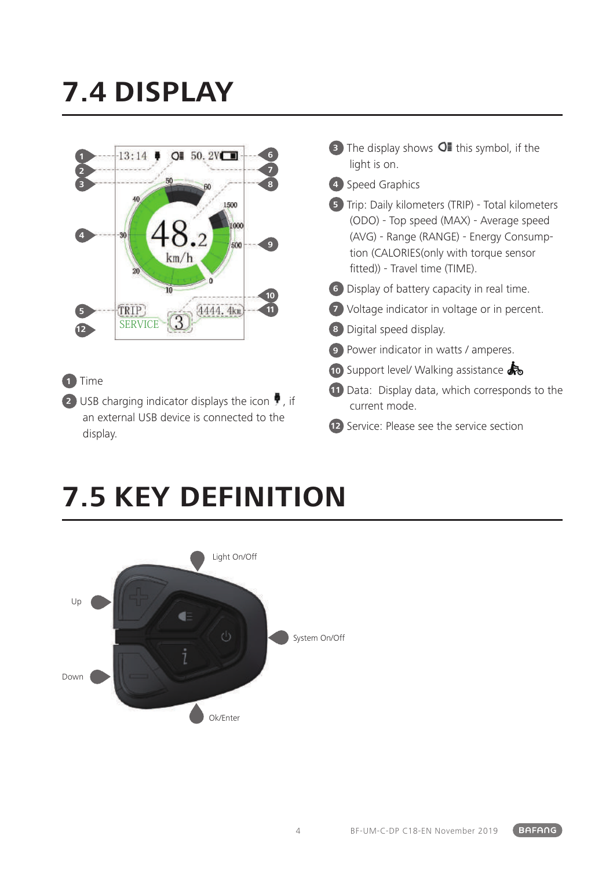## **7.4 DISPLAY**



### **1** Time

**2** USB charging indicator displays the icon  $\overline{P}$ , if an external USB device is connected to the display.

- **3** The display shows **O** this symbol, if the light is on.
- **4** Speed Graphics

**5** Trip: Daily kilometers (TRIP) - Total kilometers (ODO) - Top speed (MAX) - Average speed (AVG) - Range (RANGE) - Energy Consumption (CALORIES(only with torque sensor fitted)) - Travel time (TIME).

- **6** Display of battery capacity in real time.
- **7** Voltage indicator in voltage or in percent.
- **8** Digital speed display.
- **9** Power indicator in watts / amperes.
- **10** Support level/ Walking assistance
- **11** Data: Display data, which corresponds to the current mode.
- **12** Service: Please see the service section

## **7.5 KEY DEFINITION**

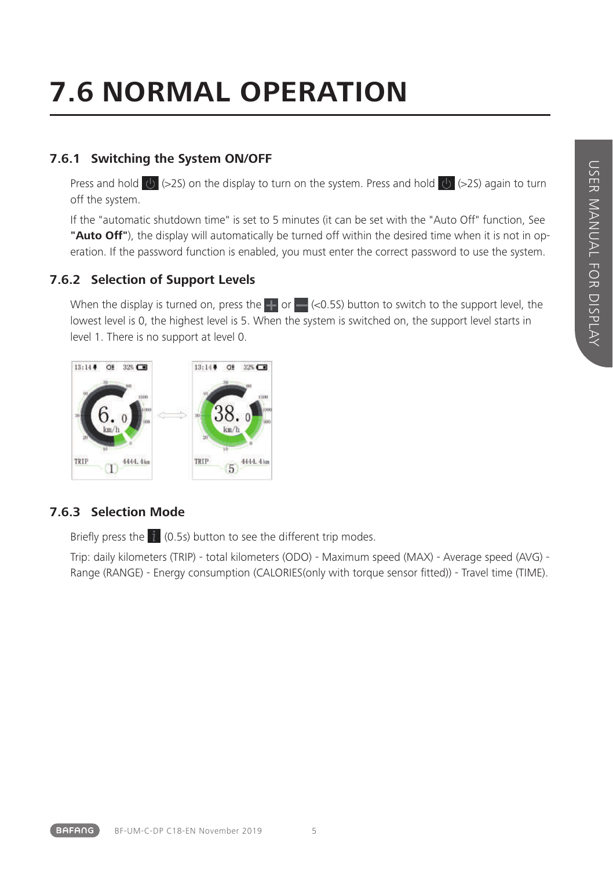## **7.6 NORMAL OPERATION**

#### **7.6.1 Switching the System ON/OFF**

Press and hold  $\overline{Q}$  (>2S) on the display to turn on the system. Press and hold  $\overline{Q}$  (>2S) again to turn off the system.

If the "automatic shutdown time" is set to 5 minutes (it can be set with the "Auto Off" function, See **"Auto Off"**), the display will automatically be turned off within the desired time when it is not in operation. If the password function is enabled, you must enter the correct password to use the system.

#### **7.6.2 Selection of Support Levels**

When the display is turned on, press the  $\Box$  or  $\Box$  (<0.5S) button to switch to the support level, the lowest level is 0, the highest level is 5. When the system is switched on, the support level starts in level 1. There is no support at level 0.



#### **7.6.3 Selection Mode**

Briefly press the  $\hat{i}$  (0.5s) button to see the different trip modes.

Trip: daily kilometers (TRIP) - total kilometers (ODO) - Maximum speed (MAX) - Average speed (AVG) - Range (RANGE) - Energy consumption (CALORIES(only with torque sensor fitted)) - Travel time (TIME).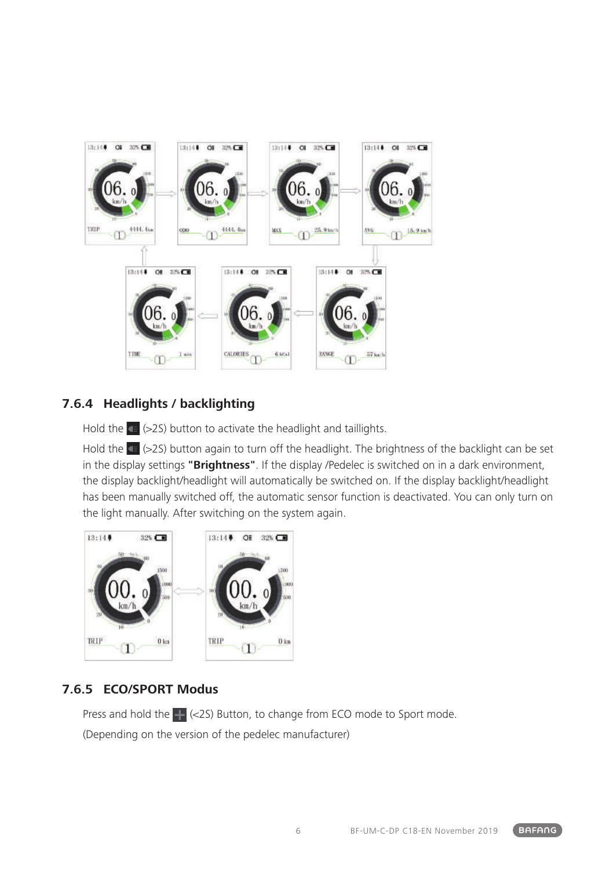

#### **7.6.4 Headlights / backlighting**

Hold the  $\left(=$  (>2S) button to activate the headlight and taillights.

Hold the CB (>2S) button again to turn off the headlight. The brightness of the backlight can be set in the display settings **"Brightness"**. If the display /Pedelec is switched on in a dark environment, the display backlight/headlight will automatically be switched on. If the display backlight/headlight has been manually switched off, the automatic sensor function is deactivated. You can only turn on the light manually. After switching on the system again.



#### **7.6.5 ECO/SPORT Modus**

Press and hold the  $\Box$  (<2S) Button, to change from ECO mode to Sport mode. (Depending on the version of the pedelec manufacturer)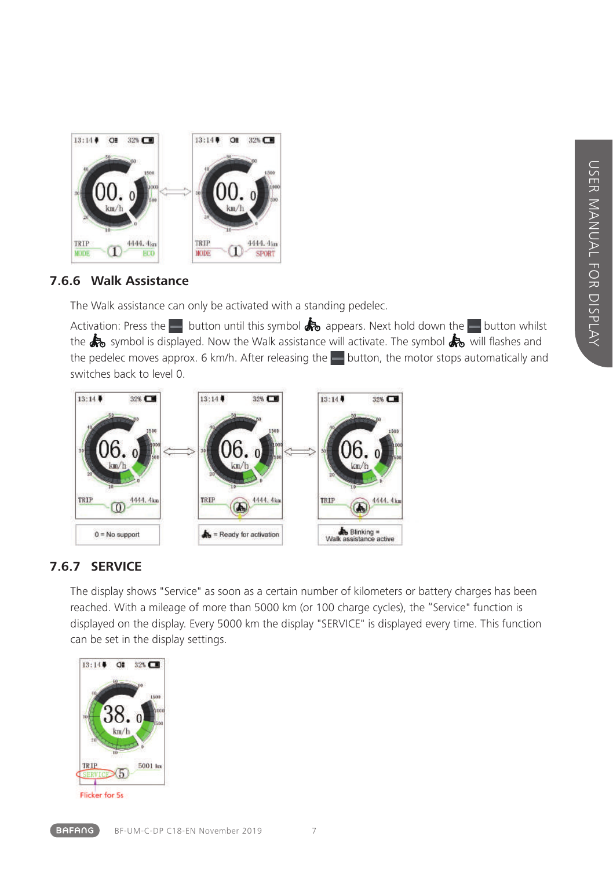

#### **7.6.6 Walk Assistance**

The Walk assistance can only be activated with a standing pedelec.

Activation: Press the button until this symbol  $\clubsuit$  appears. Next hold down the button whilst the  $\clubsuit$  symbol is displayed. Now the Walk assistance will activate. The symbol  $\clubsuit$  will flashes and the pedelec moves approx. 6 km/h. After releasing the  $\blacksquare$  button, the motor stops automatically and switches back to level 0.



#### **7.6.7 SERVICE**

The display shows "Service" as soon as a certain number of kilometers or battery charges has been reached. With a mileage of more than 5000 km (or 100 charge cycles), the "Service" function is displayed on the display. Every 5000 km the display "SERVICE" is displayed every time. This function can be set in the display settings.



Flicker for 5s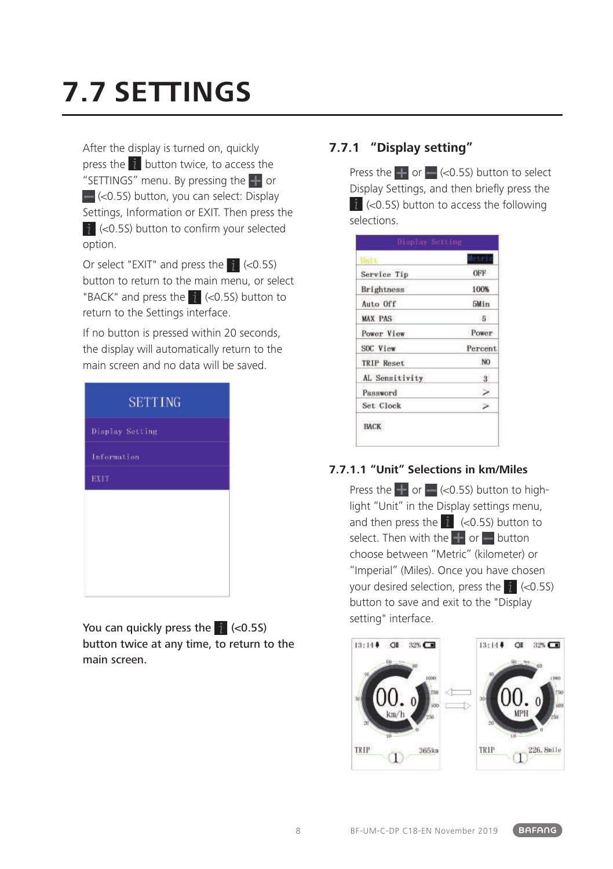## **7.7 SETTINGS**

After the display is turned on, quickly press the  $\hat{i}$  button twice, to access the "SETTINGS" menu. By pressing the **T** or  $\Box$  (<0.5S) button, you can select: Display Settings, Information or EXIT. Then press the  $\frac{1}{2}$  (<0.5S) button to confirm your selected option.

Or select "EXIT" and press the  $\uparrow$  (<0.5S) button to return to the main menu, or select "BACK" and press the  $\dot{\mathbf{i}}$  (<0.5S) button to return to the Settings interface.

If no button is pressed within 20 seconds, the display will automatically return to the main screen and no data will be saved.

| <b>SETTING</b>  |  |
|-----------------|--|
| Display Setting |  |
| Information     |  |
| <b>EXIT</b>     |  |
|                 |  |
|                 |  |
|                 |  |
|                 |  |
|                 |  |

You can quickly press the  $\frac{1}{4}$  (<0.5S) button twice at any time, to return to the main screen.

### **7.7.1 "Display setting"**

Press the  $\Box$  or  $\Box$  (<0.5S) button to select Display Settings, and then briefly press the  $i$  (<0.5S) button to access the following selections.

|                   | etri                    |
|-------------------|-------------------------|
| Service Tip       | OFF                     |
| Brightness        | 100%                    |
| Auto Off          | 5Min                    |
| <b>MAX PAS</b>    | 5 <sup>°</sup>          |
| Power View        | Power                   |
| SOC View          | Percent.                |
| <b>TRIP Reset</b> | NO <sub>1</sub>         |
| AL Sensitivity    | $\overline{\mathbf{3}}$ |
| Password          |                         |
| Set Clock         |                         |

#### **7.7.1.1 "Unit" Selections in km/Miles**

Press the  $\blacksquare$  or  $\blacksquare$  (<0.5S) button to highlight "Unit" in the Display settings menu, and then press the  $i$  (<0.5S) button to select. Then with the  $\blacksquare$  or  $\blacksquare$  button choose between "Metric" (kilometer) or "Imperial" (Miles). Once you have chosen your desired selection, press the  $\mathbf{i}$  (<0.5S) button to save and exit to the "Display setting" interface.

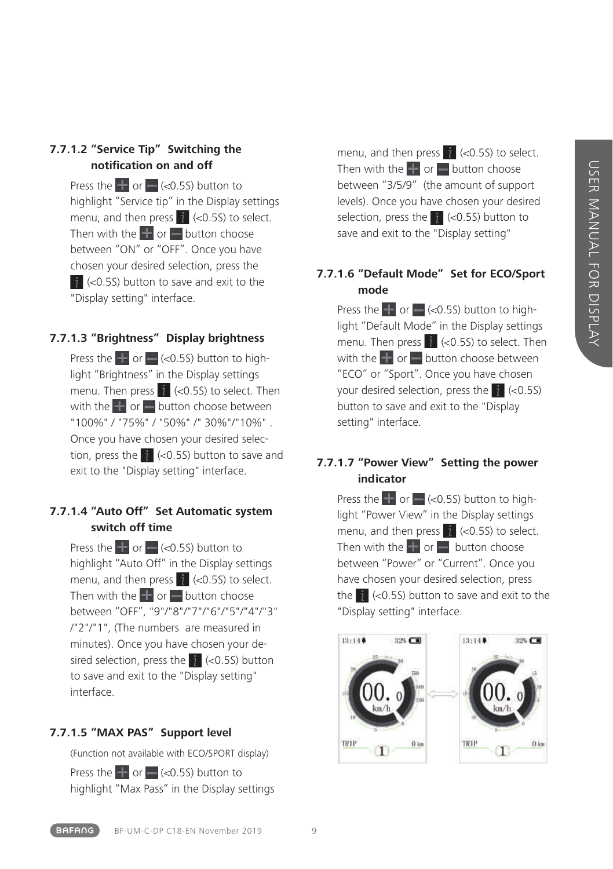#### **7.7.1.2 "Service Tip" Switching the notification on and off**

Press the  $\blacksquare$  or  $\blacksquare$  (<0.5S) button to highlight "Service tip" in the Display settings menu, and then press  $\hat{i}$  (<0.5S) to select. Then with the  $\blacksquare$  or  $\blacksquare$  button choose between "ON" or "OFF". Once you have chosen your desired selection, press the  $\frac{1}{2}$  (<0.5S) button to save and exit to the "Display setting" interface.

#### **7.7.1.3 "Brightness" Display brightness**

Press the  $\blacksquare$  or  $\blacksquare$  (<0.5S) button to highlight "Brightness" in the Display settings menu. Then press  $\frac{1}{1}$  (<0.5S) to select. Then with the  $\blacksquare$  or  $\blacksquare$  button choose between "100%" / "75%" / "50%" /" 30%"/"10%" . Once you have chosen your desired selection, press the  $\dot{\mathbf{i}}$  (<0.5S) button to save and exit to the "Display setting" interface.

#### **7.7.1.4 "Auto Off" Set Automatic system switch off time**

Press the  $\pm$  or  $\approx$  (<0.5S) button to highlight "Auto Off" in the Display settings menu, and then press  $\hat{i}$  (<0.5S) to select. Then with the  $\mathbf{F}$  or button choose between "OFF", "9"/"8"/"7"/"6"/"5"/"4"/"3" /"2"/"1", (The numbers are measured in minutes). Once you have chosen your desired selection, press the  $\frac{1}{1}$  (<0.5S) button to save and exit to the "Display setting" interface.

#### **7.7.1.5 "MAX PAS" Support level**

(Function not available with ECO/SPORT display)

Press the  $\Box$  or  $\Box$  (<0.5S) button to highlight "Max Pass" in the Display settings menu, and then press  $\hat{i}$  (<0.5S) to select. Then with the  $\Box$  or  $\Box$  button choose between "3/5/9" (the amount of support levels). Once you have chosen your desired selection, press the  $\frac{1}{2}$  (<0.5S) button to save and exit to the "Display setting"

#### **7.7.1.6 "Default Mode" Set for ECO/Sport mode**

Press the  $\blacksquare$  or  $\blacksquare$  (<0.5S) button to highlight "Default Mode" in the Display settings menu. Then press  $\begin{bmatrix} 1 \\ 1 \end{bmatrix}$  (<0.5S) to select. Then with the  $\pm$  or  $\pm$  button choose between "ECO" or "Sport". Once you have chosen your desired selection, press the  $\frac{1}{4}$  (<0.5S) button to save and exit to the "Display setting" interface.

#### **7.7.1.7 "Power View" Setting the power indicator**

Press the  $\blacksquare$  or  $\blacksquare$  (<0.5S) button to highlight "Power View" in the Display settings menu, and then press  $\mathbf{i}$  (<0.5S) to select. Then with the  $\blacksquare$  or  $\blacksquare$  button choose between "Power" or "Current". Once you have chosen your desired selection, press the  $\hat{i}$  (<0.5S) button to save and exit to the "Display setting" interface.

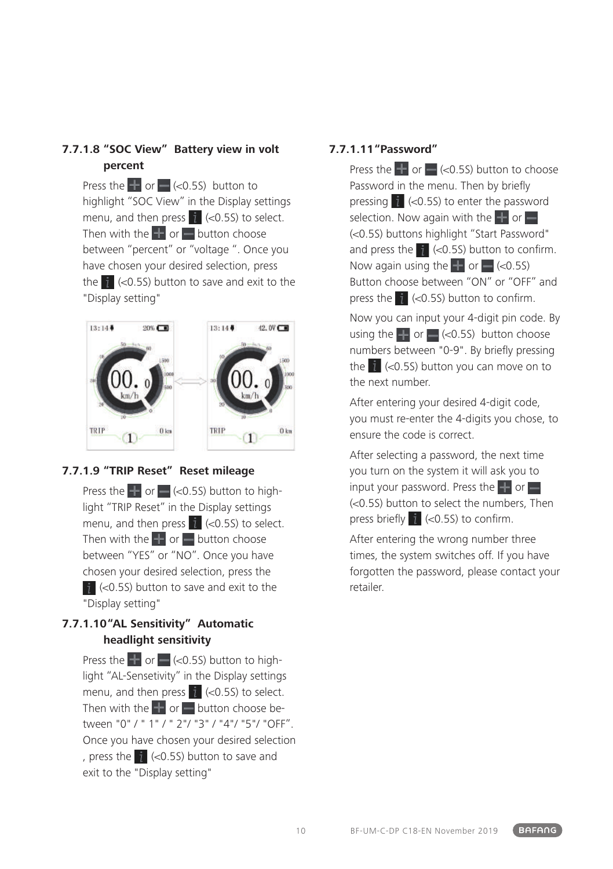#### **7.7.1.8 "SOC View" Battery view in volt percent**

Press the  $\blacksquare$  or  $\blacksquare$  (<0.5S) button to highlight "SOC View" in the Display settings menu, and then press  $\hat{i}$  (<0.5S) to select. Then with the  $\blacksquare$  or  $\blacksquare$  button choose between "percent" or "voltage ". Once you have chosen your desired selection, press the  $\mathcal{L}$  (<0.5S) button to save and exit to the "Display setting"



#### **7.7.1.9 "TRIP Reset" Reset mileage**

Press the  $\blacksquare$  or  $\blacksquare$  (<0.5S) button to highlight "TRIP Reset" in the Display settings menu, and then press  $\hat{i}$  (<0.5S) to select. Then with the  $\blacksquare$  or  $\blacksquare$  button choose between "YES" or "NO". Once you have chosen your desired selection, press the  $\frac{1}{2}$  (<0.5S) button to save and exit to the "Display setting"

#### **7.7.1.10"AL Sensitivity" Automatic headlight sensitivity**

Press the  $\blacksquare$  or  $\blacksquare$  (<0.5S) button to highlight "AL-Sensetivity" in the Display settings menu, and then press  $\hat{i}$  (<0.5S) to select. Then with the  $\blacksquare$  or  $\blacksquare$  button choose between "0" / " 1" / " 2"/ "3" / "4"/ "5"/ "OFF". Once you have chosen your desired selection , press the  $\frac{1}{4}$  (<0.5S) button to save and exit to the "Display setting"

#### **7.7.1.11"Password"**

Press the  $\blacksquare$  or  $\blacksquare$  (<0.5S) button to choose Password in the menu. Then by briefly pressing  $\mathbf{i}$  (<0.5S) to enter the password selection. Now again with the  $\blacksquare$  or  $\blacksquare$ (<0.5S) buttons highlight "Start Password" and press the  $\frac{1}{4}$  (<0.5S) button to confirm. Now again using the  $\pm$  or  $\pm$  (<0.5S) Button choose between "ON" or "OFF" and press the  $\parallel$  (<0.5S) button to confirm.

Now you can input your 4-digit pin code. By using the  $\blacksquare$  or  $\blacksquare$  (<0.5S) button choose numbers between "0-9". By briefly pressing the  $\hat{i}$  (<0.5S) button you can move on to the next number.

After entering your desired 4-digit code, you must re-enter the 4-digits you chose, to ensure the code is correct.

After selecting a password, the next time you turn on the system it will ask you to input your password. Press the  $\Box$  or  $\Box$  $(<0.55)$  button to select the numbers. Then press briefly  $i \le 0.5$ S) to confirm.

After entering the wrong number three times, the system switches off. If you have forgotten the password, please contact your retailer.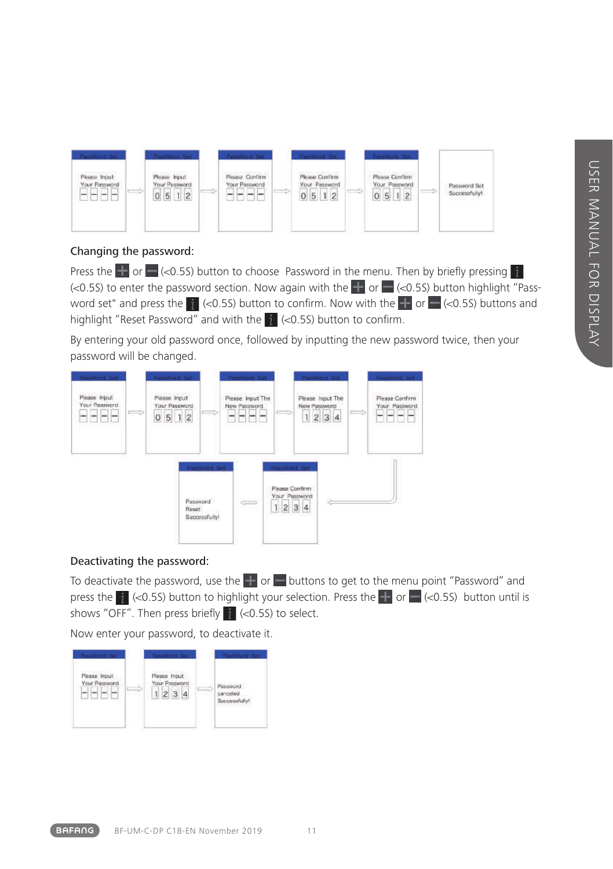

#### Changing the password:

Press the **Follo** or  $\blacksquare$  (<0.5S) button to choose Password in the menu. Then by briefly pressing  $\blacksquare$  $\leq 0.5$  to enter the password section. Now again with the  $\frac{1}{2}$  or  $\leq$   $\leq$  0.5S) button highlight "Password set" and press the  $\frac{1}{2}$  (<0.5S) button to confirm. Now with the  $\frac{1}{2}$  or  $\frac{1}{2}$  (<0.5S) buttons and highlight "Reset Password" and with the  $\frac{1}{2}$  (<0.5S) button to confirm.

By entering your old password once, followed by inputting the new password twice, then your password will be changed.



#### Deactivating the password:

To deactivate the password, use the  $\blacksquare$  or  $\blacksquare$  buttons to get to the menu point "Password" and press the  $\vec{i}$  (<0.5S) button to highlight your selection. Press the  $\vec{i}$  or  $\vec{j}$  (<0.5S) button until is shows "OFF". Then press briefly  $\frac{1}{4}$  (<0.5S) to select.

Now enter your password, to deactivate it.

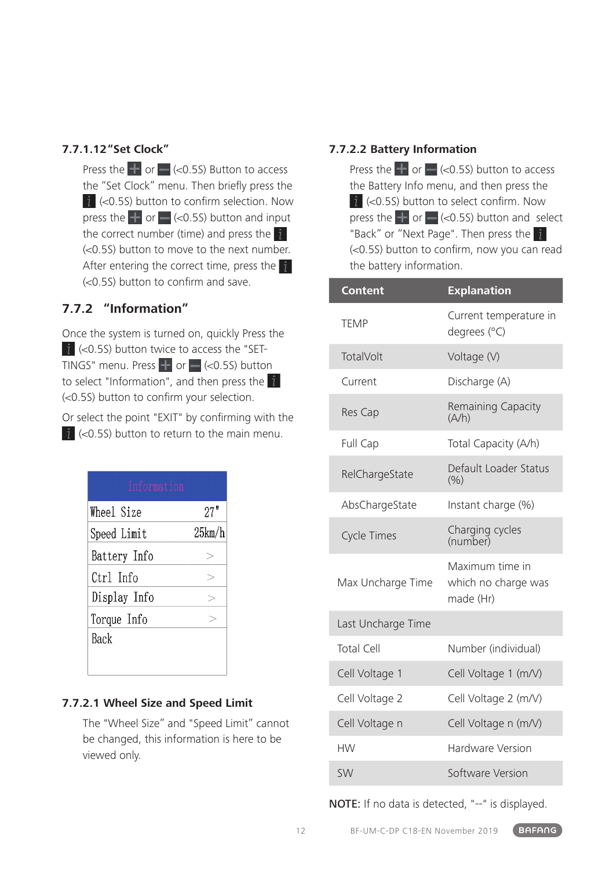#### **7.7.1.12"Set Clock"**

Press the  $\pm$  or  $\equiv$  (<0.5S) Button to access the "Set Clock" menu. Then briefly press the  $i$  (<0.5S) button to confirm selection. Now press the  $\Box$  or  $\Box$  (<0.5S) button and input the correct number (time) and press the  $f$ (<0.5S) button to move to the next number. After entering the correct time, press the  $\mathbf{i}$ (<0.5S) button to confirm and save.

#### **7.7.2 "Information"**

Once the system is turned on, quickly Press the  $i$  (<0.5S) button twice to access the "SET-TINGS" menu. Press  $\blacksquare$  or  $\blacksquare$  (<0.5S) button to select "Information", and then press the (<0.5S) button to confirm your selection.

Or select the point "EXIT" by confirming with the  $\hat{i}$  (<0.5S) button to return to the main menu.

| Information  |        |  |  |
|--------------|--------|--|--|
| Wheel Size   | 27"    |  |  |
| Speed Limit  | 25km/h |  |  |
| Battery Info |        |  |  |
| Ctrl Info    |        |  |  |
| Display Info |        |  |  |
| Torque Info  |        |  |  |
| Back         |        |  |  |
|              |        |  |  |

#### **7.7.2.1 Wheel Size and Speed Limit**

The "Wheel Size" and "Speed Limit" cannot be changed, this information is here to be viewed only.

#### **7.7.2.2 Battery Information**

Press the  $\frac{1}{2}$  or  $\frac{1}{2}$  (<0.5S) button to access the Battery Info menu, and then press the  $i$  (<0.5S) button to select confirm. Now press the  $\blacksquare$  or  $\blacksquare$  (<0.5S) button and select "Back" or "Next Page". Then press the (<0.5S) button to confirm, now you can read the battery information.

| <b>Content</b>     | <b>Explanation</b>                                  |
|--------------------|-----------------------------------------------------|
| <b>TEMP</b>        | Current temperature in<br>degrees (°C)              |
| TotalVolt          | Voltage (V)                                         |
| Current            | Discharge (A)                                       |
| Res Cap            | Remaining Capacity<br>(A/h)                         |
| Full Cap           | Total Capacity (A/h)                                |
| RelChargeState     | Default Loader Status<br>(% )                       |
| AbsChargeState     | Instant charge (%)                                  |
| <b>Cycle Times</b> | Charging cycles<br>(number)                         |
| Max Uncharge Time  | Maximum time in<br>which no charge was<br>made (Hr) |
| Last Uncharge Time |                                                     |
| <b>Total Cell</b>  | Number (individual)                                 |
| Cell Voltage 1     | Cell Voltage 1 (m/V)                                |
| Cell Voltage 2     | Cell Voltage 2 (m/V)                                |
| Cell Voltage n     | Cell Voltage n (m/V)                                |
| <b>HW</b>          | Hardware Version                                    |
| <b>SW</b>          | Software Version                                    |

NOTE: If no data is detected, "--" is displayed.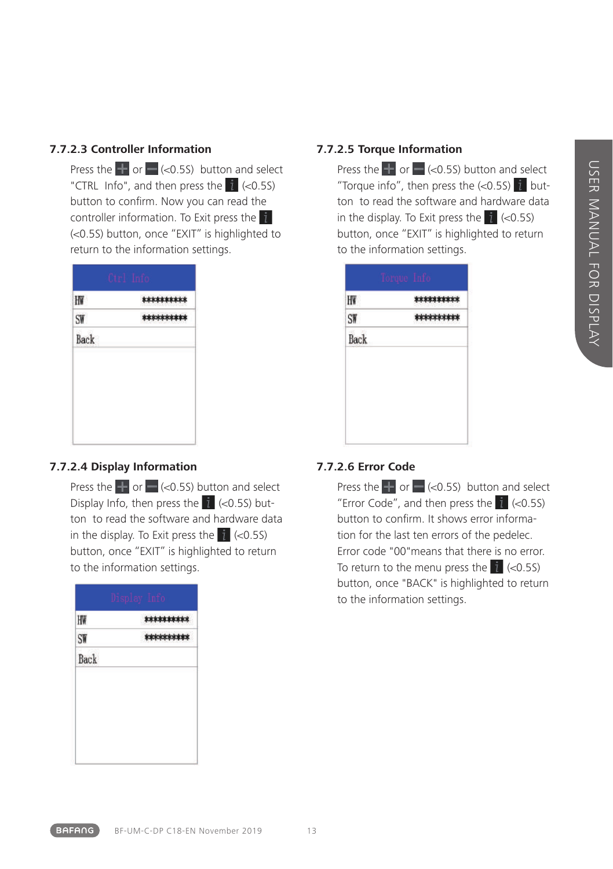### **7.7.2.3 Controller Information**

Press the  $\blacksquare$  or  $\blacksquare$  (<0.5S) button and select "CTRL Info", and then press the  $\hat{i}$  (<0.5S) button to confirm. Now you can read the controller information. To Exit press the (<0.5S) button, once "EXIT" is highlighted to return to the information settings.

| HW   | ********** |
|------|------------|
| SW   | ********** |
| Back |            |
|      |            |
|      |            |
|      |            |
|      |            |

#### **7.7.2.4 Display Information**

Press the  $\pm$  or  $\pm$  (<0.5S) button and select Display Info, then press the  $\mathbb{I}$  (<0.5S) button to read the software and hardware data in the display. To Exit press the  $\hat{i}$  (<0.5S) button, once "EXIT" is highlighted to return to the information settings.

| HW   | ********** |
|------|------------|
| SW   | ********** |
| Back |            |
|      |            |
|      |            |
|      |            |
|      |            |

### **7.7.2.5 Torque Information**

Press the  $\frac{1}{2}$  or  $\frac{1}{2}$  (<0.5S) button and select "Torque info", then press the  $\langle$ <0.5S) in button to read the software and hardware data in the display. To Exit press the  $\mathbf{i}$  (<0.5S) button, once "EXIT" is highlighted to return to the information settings.

|                 | Torque Info |            |
|-----------------|-------------|------------|
| HW              |             | ********** |
| SW <sub>1</sub> |             | ********** |
| Back            |             |            |
|                 |             |            |

### **7.7.2.6 Error Code**

Press the  $\frac{1}{2}$  or  $\approx$  (<0.5S) button and select "Error Code", and then press the  $\mathbf{i}$  (<0.5S) button to confirm. It shows error information for the last ten errors of the pedelec. Error code "00"means that there is no error. To return to the menu press the  $\vec{i}$  (<0.5S) button, once "BACK" is highlighted to return to the information settings.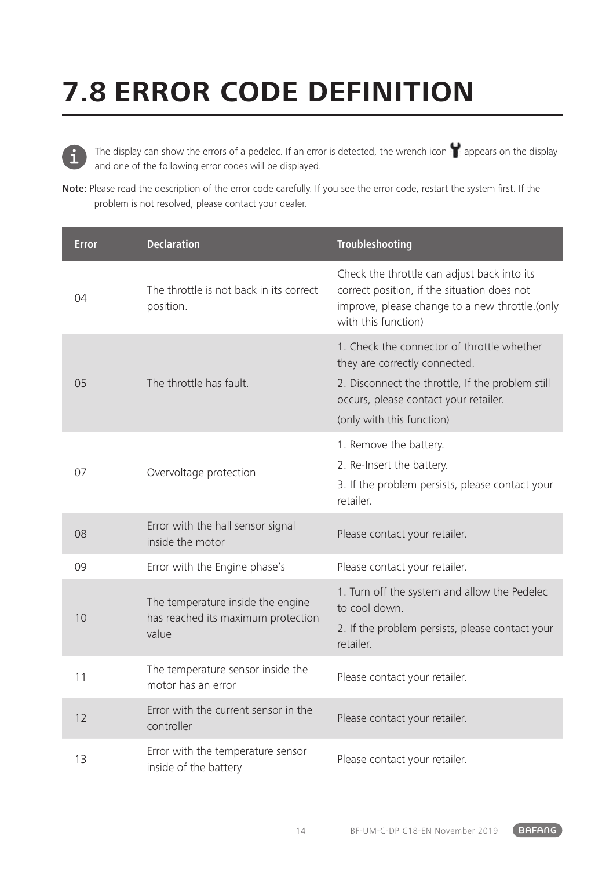## **7.8 ERROR CODE DEFINITION**



The display can show the errors of a pedelec. If an error is detected, the wrench icon  $\blacksquare$  appears on the display and one of the following error codes will be displayed.

Note: Please read the description of the error code carefully. If you see the error code, restart the system first. If the problem is not resolved, please contact your dealer.

| Error | <b>Declaration</b>                                                               | Troubleshooting                                                                                                                                                                                       |
|-------|----------------------------------------------------------------------------------|-------------------------------------------------------------------------------------------------------------------------------------------------------------------------------------------------------|
| 04    | The throttle is not back in its correct<br>position.                             | Check the throttle can adjust back into its<br>correct position, if the situation does not<br>improve, please change to a new throttle.(only<br>with this function)                                   |
| 05    | The throttle has fault.                                                          | 1. Check the connector of throttle whether<br>they are correctly connected.<br>2. Disconnect the throttle, If the problem still<br>occurs, please contact your retailer.<br>(only with this function) |
| 07    | Overvoltage protection                                                           | 1. Remove the battery.<br>2. Re-Insert the battery.<br>3. If the problem persists, please contact your<br>retailer.                                                                                   |
| 08    | Error with the hall sensor signal<br>inside the motor                            | Please contact your retailer.                                                                                                                                                                         |
| 09    | Error with the Engine phase's                                                    | Please contact your retailer.                                                                                                                                                                         |
| 10    | The temperature inside the engine<br>has reached its maximum protection<br>value | 1. Turn off the system and allow the Pedelec<br>to cool down.<br>2. If the problem persists, please contact your<br>retailer.                                                                         |
| 11    | The temperature sensor inside the<br>motor has an error                          | Please contact your retailer.                                                                                                                                                                         |
| 12    | Error with the current sensor in the<br>controller                               | Please contact your retailer.                                                                                                                                                                         |
| 13    | Error with the temperature sensor<br>inside of the battery                       | Please contact your retailer.                                                                                                                                                                         |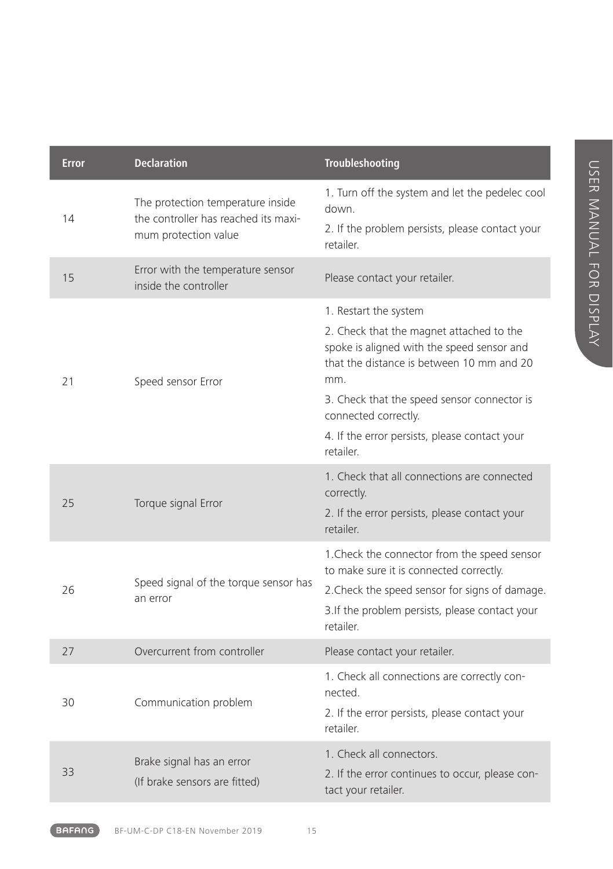| <b>Error</b> | <b>Declaration</b>                                                                                | Troubleshooting                                                                                                                                                                                                                                                                                          |
|--------------|---------------------------------------------------------------------------------------------------|----------------------------------------------------------------------------------------------------------------------------------------------------------------------------------------------------------------------------------------------------------------------------------------------------------|
| 14           | The protection temperature inside<br>the controller has reached its maxi-<br>mum protection value | 1. Turn off the system and let the pedelec cool<br>down.<br>2. If the problem persists, please contact your<br>retailer.                                                                                                                                                                                 |
| 15           | Error with the temperature sensor<br>inside the controller                                        | Please contact your retailer.                                                                                                                                                                                                                                                                            |
| 21           | Speed sensor Error                                                                                | 1. Restart the system<br>2. Check that the magnet attached to the<br>spoke is aligned with the speed sensor and<br>that the distance is between 10 mm and 20<br>mm.<br>3. Check that the speed sensor connector is<br>connected correctly.<br>4. If the error persists, please contact your<br>retailer. |
| 25           | Torque signal Error                                                                               | 1. Check that all connections are connected<br>correctly.<br>2. If the error persists, please contact your<br>retailer.                                                                                                                                                                                  |
| 26           | Speed signal of the torque sensor has<br>an error                                                 | 1. Check the connector from the speed sensor<br>to make sure it is connected correctly.<br>2. Check the speed sensor for signs of damage.<br>3.If the problem persists, please contact your<br>retailer.                                                                                                 |
| 27           | Overcurrent from controller                                                                       | Please contact your retailer.                                                                                                                                                                                                                                                                            |
| 30           | Communication problem                                                                             | 1. Check all connections are correctly con-<br>nected.<br>2. If the error persists, please contact your<br>retailer.                                                                                                                                                                                     |
| 33           | Brake signal has an error<br>(If brake sensors are fitted)                                        | 1. Check all connectors.<br>2. If the error continues to occur, please con-<br>tact your retailer.                                                                                                                                                                                                       |